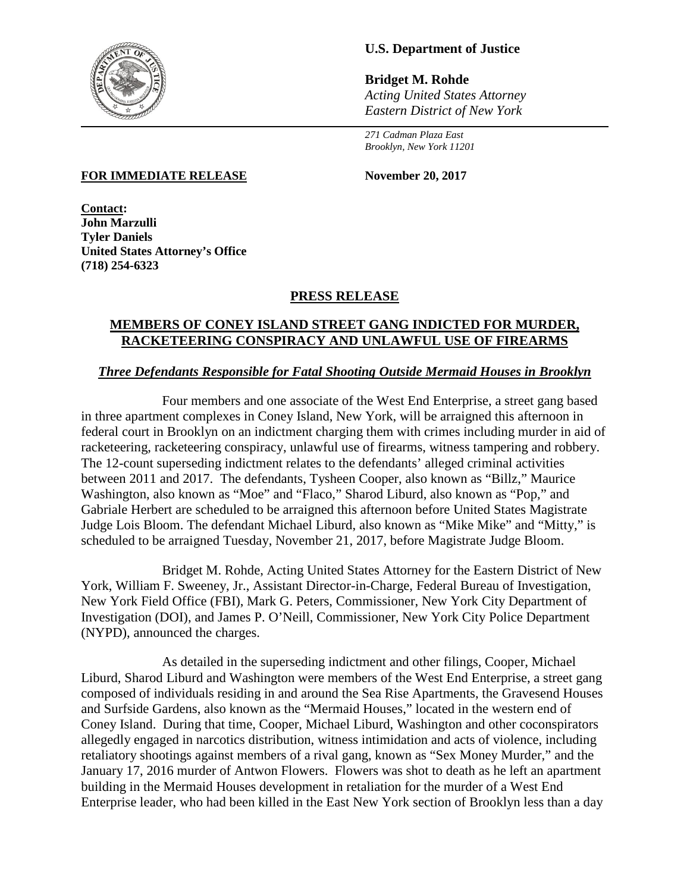

# **U.S. Department of Justice**

**Bridget M. Rohde** *Acting United States Attorney Eastern District of New York*

*271 Cadman Plaza East Brooklyn, New York 11201*

#### **FOR IMMEDIATE RELEASE November 20, 2017**

**Contact: John Marzulli Tyler Daniels United States Attorney's Office (718) 254-6323**

### **PRESS RELEASE**

## **MEMBERS OF CONEY ISLAND STREET GANG INDICTED FOR MURDER, RACKETEERING CONSPIRACY AND UNLAWFUL USE OF FIREARMS**

#### *Three Defendants Responsible for Fatal Shooting Outside Mermaid Houses in Brooklyn*

Four members and one associate of the West End Enterprise, a street gang based in three apartment complexes in Coney Island, New York, will be arraigned this afternoon in federal court in Brooklyn on an indictment charging them with crimes including murder in aid of racketeering, racketeering conspiracy, unlawful use of firearms, witness tampering and robbery. The 12-count superseding indictment relates to the defendants' alleged criminal activities between 2011 and 2017. The defendants, Tysheen Cooper, also known as "Billz," Maurice Washington, also known as "Moe" and "Flaco," Sharod Liburd, also known as "Pop," and Gabriale Herbert are scheduled to be arraigned this afternoon before United States Magistrate Judge Lois Bloom. The defendant Michael Liburd, also known as "Mike Mike" and "Mitty," is scheduled to be arraigned Tuesday, November 21, 2017, before Magistrate Judge Bloom.

Bridget M. Rohde, Acting United States Attorney for the Eastern District of New York, William F. Sweeney, Jr., Assistant Director-in-Charge, Federal Bureau of Investigation, New York Field Office (FBI), Mark G. Peters, Commissioner, New York City Department of Investigation (DOI), and James P. O'Neill, Commissioner, New York City Police Department (NYPD), announced the charges.

As detailed in the superseding indictment and other filings, Cooper, Michael Liburd, Sharod Liburd and Washington were members of the West End Enterprise, a street gang composed of individuals residing in and around the Sea Rise Apartments, the Gravesend Houses and Surfside Gardens, also known as the "Mermaid Houses," located in the western end of Coney Island. During that time, Cooper, Michael Liburd, Washington and other coconspirators allegedly engaged in narcotics distribution, witness intimidation and acts of violence, including retaliatory shootings against members of a rival gang, known as "Sex Money Murder," and the January 17, 2016 murder of Antwon Flowers. Flowers was shot to death as he left an apartment building in the Mermaid Houses development in retaliation for the murder of a West End Enterprise leader, who had been killed in the East New York section of Brooklyn less than a day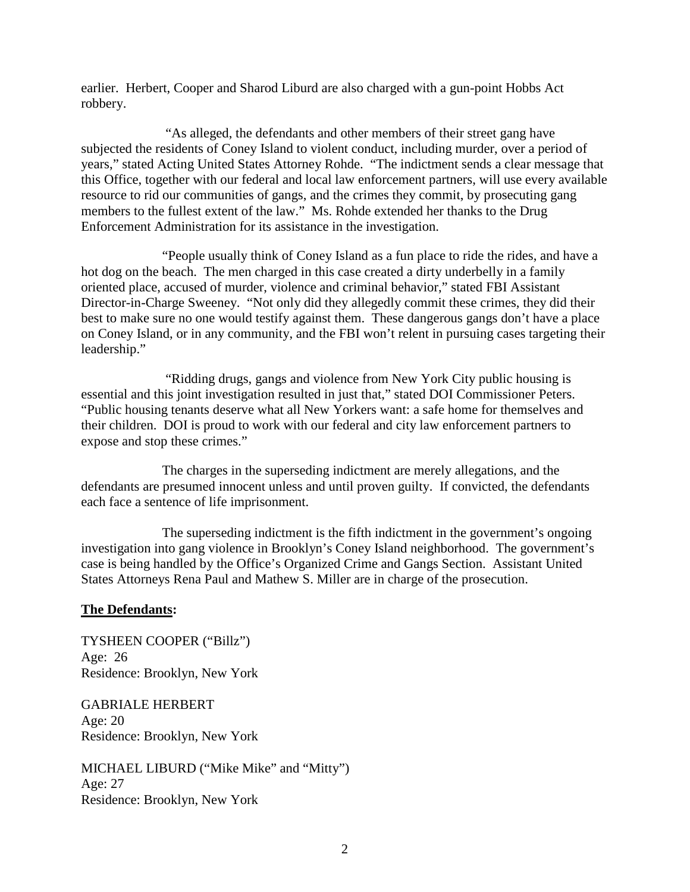earlier. Herbert, Cooper and Sharod Liburd are also charged with a gun-point Hobbs Act robbery.

"As alleged, the defendants and other members of their street gang have subjected the residents of Coney Island to violent conduct, including murder, over a period of years," stated Acting United States Attorney Rohde. "The indictment sends a clear message that this Office, together with our federal and local law enforcement partners, will use every available resource to rid our communities of gangs, and the crimes they commit, by prosecuting gang members to the fullest extent of the law." Ms. Rohde extended her thanks to the Drug Enforcement Administration for its assistance in the investigation.

"People usually think of Coney Island as a fun place to ride the rides, and have a hot dog on the beach. The men charged in this case created a dirty underbelly in a family oriented place, accused of murder, violence and criminal behavior," stated FBI Assistant Director-in-Charge Sweeney. "Not only did they allegedly commit these crimes, they did their best to make sure no one would testify against them. These dangerous gangs don't have a place on Coney Island, or in any community, and the FBI won't relent in pursuing cases targeting their leadership."

"Ridding drugs, gangs and violence from New York City public housing is essential and this joint investigation resulted in just that," stated DOI Commissioner Peters. "Public housing tenants deserve what all New Yorkers want: a safe home for themselves and their children. DOI is proud to work with our federal and city law enforcement partners to expose and stop these crimes."

The charges in the superseding indictment are merely allegations, and the defendants are presumed innocent unless and until proven guilty. If convicted, the defendants each face a sentence of life imprisonment.

The superseding indictment is the fifth indictment in the government's ongoing investigation into gang violence in Brooklyn's Coney Island neighborhood. The government's case is being handled by the Office's Organized Crime and Gangs Section. Assistant United States Attorneys Rena Paul and Mathew S. Miller are in charge of the prosecution.

# **The Defendants:**

TYSHEEN COOPER ("Billz") Age: 26 Residence: Brooklyn, New York

GABRIALE HERBERT Age: 20 Residence: Brooklyn, New York

MICHAEL LIBURD ("Mike Mike" and "Mitty") Age: 27 Residence: Brooklyn, New York